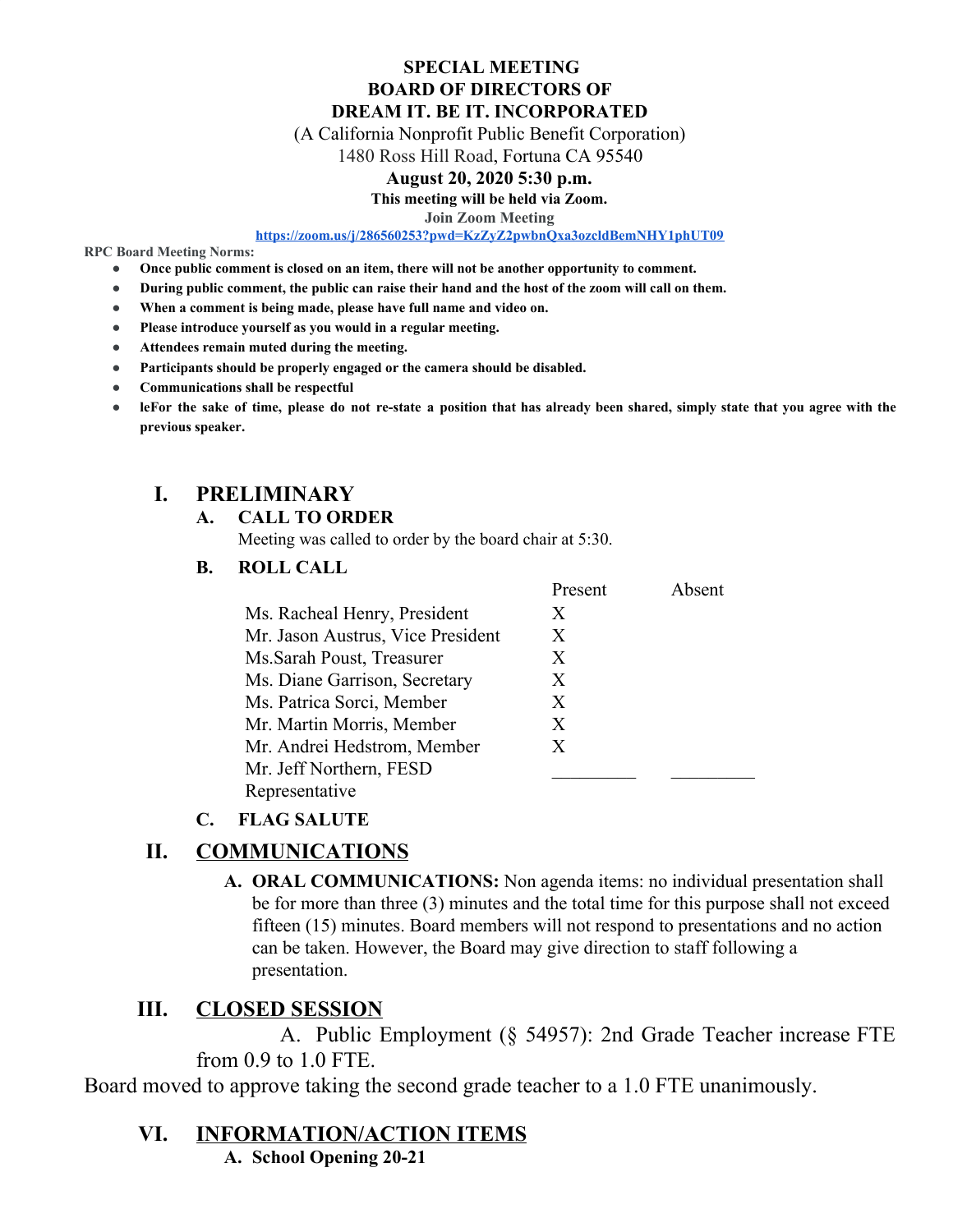#### **SPECIAL MEETING BOARD OF DIRECTORS OF DREAM IT. BE IT. INCORPORATED**

(A California Nonprofit Public Benefit Corporation)

1480 Ross Hill Road, Fortuna CA 95540

#### **August 20, 2020 5:30 p.m.**

**This meeting will be held via Zoom.**

**Join Zoom Meeting**

**<https://zoom.us/j/286560253?pwd=KzZyZ2pwbnQxa3ozcldBemNHY1phUT09>**

**RPC Board Meeting Norms:**

- **● Once public comment is closed on an item, there will not be another opportunity to comment.**
- **● During public comment, the public can raise their hand and the host of the zoom will call on them.**
- **● When a comment is being made, please have full name and video on.**
- **● Please introduce yourself as you would in a regular meeting.**
- **● Attendees remain muted during the meeting.**
- **● Participants should be properly engaged or the camera should be disabled.**
- **● Communications shall be respectful**
- leFor the sake of time, please do not re-state a position that has already been shared, simply state that you agree with the **previous speaker.**

### **I. PRELIMINARY**

#### **A. CALL TO ORDER**

Meeting was called to order by the board chair at 5:30.

#### **B. ROLL CALL**

|                                   | Present | Absent |
|-----------------------------------|---------|--------|
| Ms. Racheal Henry, President      | X       |        |
| Mr. Jason Austrus, Vice President | Х       |        |
| Ms. Sarah Poust, Treasurer        | X       |        |
| Ms. Diane Garrison, Secretary     | X       |        |
| Ms. Patrica Sorci, Member         | X       |        |
| Mr. Martin Morris, Member         | X       |        |
| Mr. Andrei Hedstrom, Member       | X       |        |
| Mr. Jeff Northern, FESD           |         |        |
| Representative                    |         |        |

### **C. FLAG SALUTE**

### **II. COMMUNICATIONS**

**A. ORAL COMMUNICATIONS:** Non agenda items: no individual presentation shall be for more than three (3) minutes and the total time for this purpose shall not exceed fifteen (15) minutes. Board members will not respond to presentations and no action can be taken. However, the Board may give direction to staff following a presentation.

### **III. CLOSED SESSION**

A. Public Employment (§ 54957): 2nd Grade Teacher increase FTE from 0.9 to 1.0 FTE.

Board moved to approve taking the second grade teacher to a 1.0 FTE unanimously.

### **VI. INFORMATION/ACTION ITEMS**

**A. School Opening 20-21**